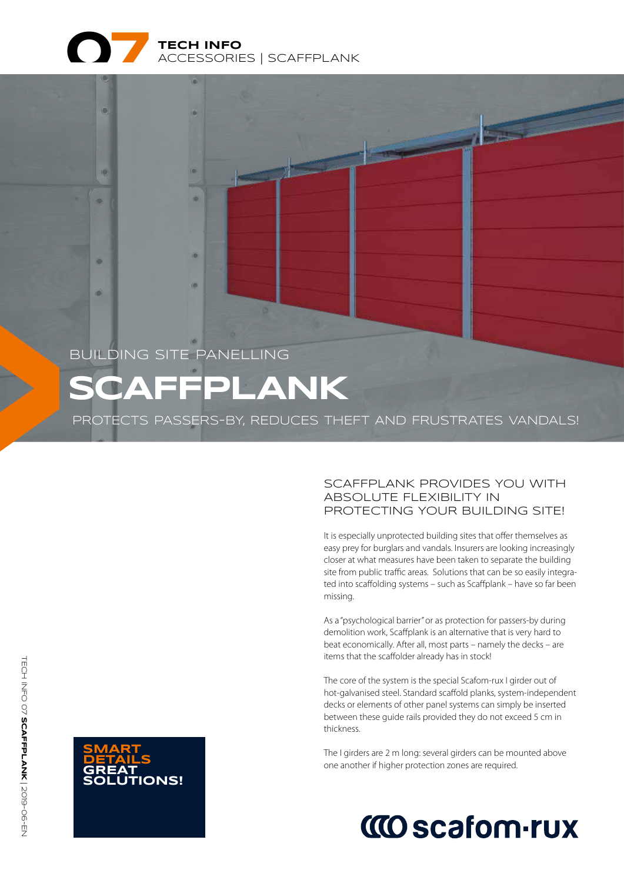

## **SCAFFPLANK** BUILDING SITE PANELLING

ä

e

PROTECTS PASSERS-BY, REDUCES THEFT AND FRUSTRATES VANDALS!

#### SCAFFPLANK PROVIDES YOU WITH ABSOLUTE FLEXIBILITY IN PROTECTING YOUR BUILDING SITE!

It is especially unprotected building sites that offer themselves as easy prey for burglars and vandals. Insurers are looking increasingly closer at what measures have been taken to separate the building site from public traffic areas. Solutions that can be so easily integrated into scaffolding systems – such as Scaffplank – have so far been missing.

As a "psychological barrier" or as protection for passers-by during demolition work, Scaffplank is an alternative that is very hard to beat economically. After all, most parts – namely the decks – are items that the scaffolder already has in stock!

The core of the system is the special Scafom-rux I girder out of hot-galvanised steel. Standard scaffold planks, system-independent decks or elements of other panel systems can simply be inserted between these guide rails provided they do not exceed 5 cm in thickness.

The I girders are 2 m long: several girders can be mounted above one another if higher protection zones are required.

# **CO scafom-rux**